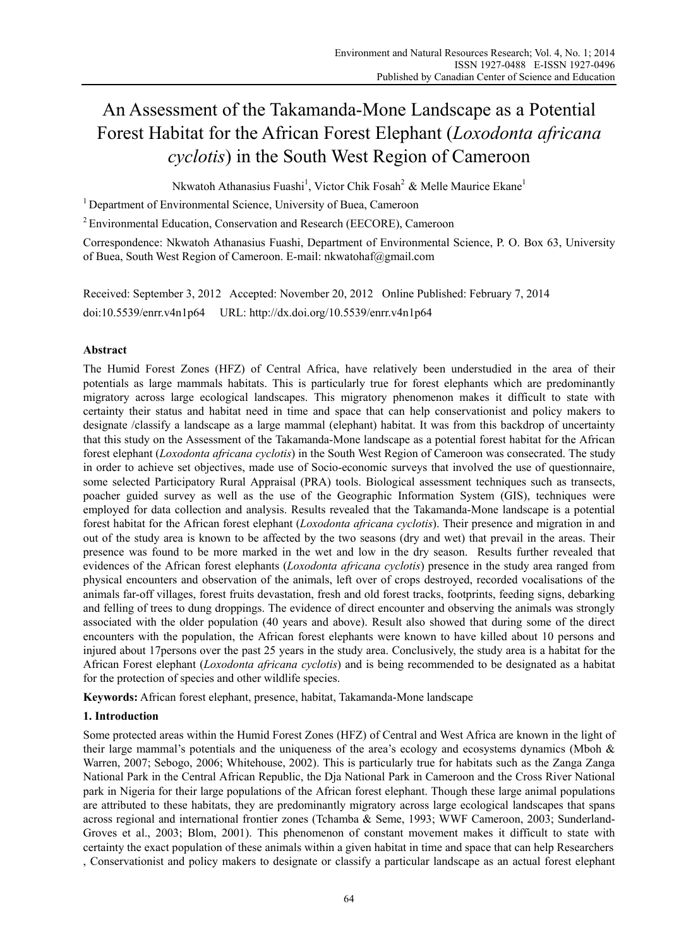# An Assessment of the Takamanda-Mone Landscape as a Potential Forest Habitat for the African Forest Elephant (*Loxodonta africana cyclotis*) in the South West Region of Cameroon

Nkwatoh Athanasius Fuashi<sup>1</sup>, Victor Chik Fosah<sup>2</sup> & Melle Maurice Ekane<sup>1</sup>

<sup>1</sup> Department of Environmental Science, University of Buea, Cameroon

2 Environmental Education, Conservation and Research (EECORE), Cameroon

Correspondence: Nkwatoh Athanasius Fuashi, Department of Environmental Science, P. O. Box 63, University of Buea, South West Region of Cameroon. E-mail: nkwatohaf@gmail.com

Received: September 3, 2012 Accepted: November 20, 2012 Online Published: February 7, 2014 doi:10.5539/enrr.v4n1p64 URL: http://dx.doi.org/10.5539/enrr.v4n1p64

## **Abstract**

The Humid Forest Zones (HFZ) of Central Africa, have relatively been understudied in the area of their potentials as large mammals habitats. This is particularly true for forest elephants which are predominantly migratory across large ecological landscapes. This migratory phenomenon makes it difficult to state with certainty their status and habitat need in time and space that can help conservationist and policy makers to designate /classify a landscape as a large mammal (elephant) habitat. It was from this backdrop of uncertainty that this study on the Assessment of the Takamanda-Mone landscape as a potential forest habitat for the African forest elephant (*Loxodonta africana cyclotis*) in the South West Region of Cameroon was consecrated. The study in order to achieve set objectives, made use of Socio-economic surveys that involved the use of questionnaire, some selected Participatory Rural Appraisal (PRA) tools. Biological assessment techniques such as transects, poacher guided survey as well as the use of the Geographic Information System (GIS), techniques were employed for data collection and analysis. Results revealed that the Takamanda-Mone landscape is a potential forest habitat for the African forest elephant (*Loxodonta africana cyclotis*). Their presence and migration in and out of the study area is known to be affected by the two seasons (dry and wet) that prevail in the areas. Their presence was found to be more marked in the wet and low in the dry season. Results further revealed that evidences of the African forest elephants (*Loxodonta africana cyclotis*) presence in the study area ranged from physical encounters and observation of the animals, left over of crops destroyed, recorded vocalisations of the animals far-off villages, forest fruits devastation, fresh and old forest tracks, footprints, feeding signs, debarking and felling of trees to dung droppings. The evidence of direct encounter and observing the animals was strongly associated with the older population (40 years and above). Result also showed that during some of the direct encounters with the population, the African forest elephants were known to have killed about 10 persons and injured about 17persons over the past 25 years in the study area. Conclusively, the study area is a habitat for the African Forest elephant (*Loxodonta africana cyclotis*) and is being recommended to be designated as a habitat for the protection of species and other wildlife species.

**Keywords:** African forest elephant, presence, habitat, Takamanda-Mone landscape

# **1. Introduction**

Some protected areas within the Humid Forest Zones (HFZ) of Central and West Africa are known in the light of their large mammal's potentials and the uniqueness of the area's ecology and ecosystems dynamics (Mboh & Warren, 2007; Sebogo, 2006; Whitehouse, 2002). This is particularly true for habitats such as the Zanga Zanga National Park in the Central African Republic, the Dja National Park in Cameroon and the Cross River National park in Nigeria for their large populations of the African forest elephant. Though these large animal populations are attributed to these habitats, they are predominantly migratory across large ecological landscapes that spans across regional and international frontier zones (Tchamba & Seme, 1993; WWF Cameroon, 2003; Sunderland-Groves et al., 2003; Blom, 2001). This phenomenon of constant movement makes it difficult to state with certainty the exact population of these animals within a given habitat in time and space that can help Researchers , Conservationist and policy makers to designate or classify a particular landscape as an actual forest elephant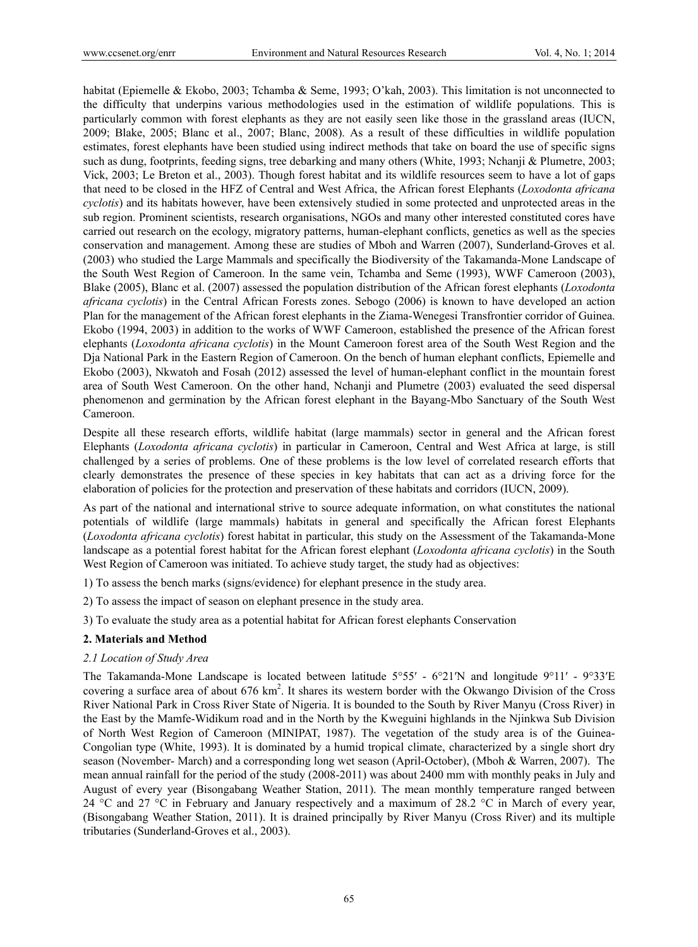habitat (Epiemelle & Ekobo, 2003; Tchamba & Seme, 1993; O'kah, 2003). This limitation is not unconnected to the difficulty that underpins various methodologies used in the estimation of wildlife populations. This is particularly common with forest elephants as they are not easily seen like those in the grassland areas (IUCN, 2009; Blake, 2005; Blanc et al., 2007; Blanc, 2008). As a result of these difficulties in wildlife population estimates, forest elephants have been studied using indirect methods that take on board the use of specific signs such as dung, footprints, feeding signs, tree debarking and many others (White, 1993; Nchanji & Plumetre, 2003; Vick, 2003; Le Breton et al., 2003). Though forest habitat and its wildlife resources seem to have a lot of gaps that need to be closed in the HFZ of Central and West Africa, the African forest Elephants (*Loxodonta africana cyclotis*) and its habitats however, have been extensively studied in some protected and unprotected areas in the sub region. Prominent scientists, research organisations, NGOs and many other interested constituted cores have carried out research on the ecology, migratory patterns, human-elephant conflicts, genetics as well as the species conservation and management. Among these are studies of Mboh and Warren (2007), Sunderland-Groves et al. (2003) who studied the Large Mammals and specifically the Biodiversity of the Takamanda-Mone Landscape of the South West Region of Cameroon. In the same vein, Tchamba and Seme (1993), WWF Cameroon (2003), Blake (2005), Blanc et al. (2007) assessed the population distribution of the African forest elephants (*Loxodonta africana cyclotis*) in the Central African Forests zones. Sebogo (2006) is known to have developed an action Plan for the management of the African forest elephants in the Ziama-Wenegesi Transfrontier corridor of Guinea. Ekobo (1994, 2003) in addition to the works of WWF Cameroon, established the presence of the African forest elephants (*Loxodonta africana cyclotis*) in the Mount Cameroon forest area of the South West Region and the Dja National Park in the Eastern Region of Cameroon. On the bench of human elephant conflicts, Epiemelle and Ekobo (2003), Nkwatoh and Fosah (2012) assessed the level of human-elephant conflict in the mountain forest area of South West Cameroon. On the other hand, Nchanji and Plumetre (2003) evaluated the seed dispersal phenomenon and germination by the African forest elephant in the Bayang-Mbo Sanctuary of the South West Cameroon.

Despite all these research efforts, wildlife habitat (large mammals) sector in general and the African forest Elephants (*Loxodonta africana cyclotis*) in particular in Cameroon, Central and West Africa at large, is still challenged by a series of problems. One of these problems is the low level of correlated research efforts that clearly demonstrates the presence of these species in key habitats that can act as a driving force for the elaboration of policies for the protection and preservation of these habitats and corridors (IUCN, 2009).

As part of the national and international strive to source adequate information, on what constitutes the national potentials of wildlife (large mammals) habitats in general and specifically the African forest Elephants (*Loxodonta africana cyclotis*) forest habitat in particular, this study on the Assessment of the Takamanda-Mone landscape as a potential forest habitat for the African forest elephant (*Loxodonta africana cyclotis*) in the South West Region of Cameroon was initiated. To achieve study target, the study had as objectives:

1) To assess the bench marks (signs/evidence) for elephant presence in the study area.

2) To assess the impact of season on elephant presence in the study area.

3) To evaluate the study area as a potential habitat for African forest elephants Conservation

## **2. Materials and Method**

## *2.1 Location of Study Area*

The Takamanda-Mone Landscape is located between latitude 5°55′ - 6°21′N and longitude 9°11′ - 9°33′E covering a surface area of about 676 km<sup>2</sup>. It shares its western border with the Okwango Division of the Cross River National Park in Cross River State of Nigeria. It is bounded to the South by River Manyu (Cross River) in the East by the Mamfe-Widikum road and in the North by the Kweguini highlands in the Njinkwa Sub Division of North West Region of Cameroon (MINIPAT, 1987). The vegetation of the study area is of the Guinea-Congolian type (White, 1993). It is dominated by a humid tropical climate, characterized by a single short dry season (November- March) and a corresponding long wet season (April-October), (Mboh & Warren, 2007). The mean annual rainfall for the period of the study (2008-2011) was about 2400 mm with monthly peaks in July and August of every year (Bisongabang Weather Station, 2011). The mean monthly temperature ranged between 24 °C and 27 °C in February and January respectively and a maximum of 28.2 °C in March of every year, (Bisongabang Weather Station, 2011). It is drained principally by River Manyu (Cross River) and its multiple tributaries (Sunderland-Groves et al., 2003).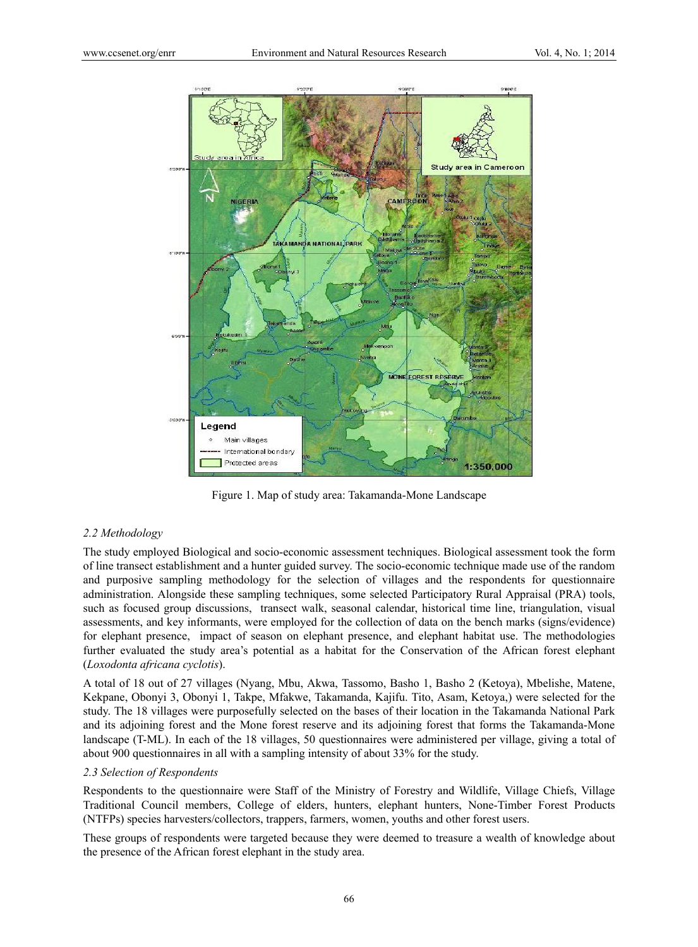

Figure 1. Map of study area: Takamanda-Mone Landscape

## *2.2 Methodology*

The study employed Biological and socio-economic assessment techniques. Biological assessment took the form of line transect establishment and a hunter guided survey. The socio-economic technique made use of the random and purposive sampling methodology for the selection of villages and the respondents for questionnaire administration. Alongside these sampling techniques, some selected Participatory Rural Appraisal (PRA) tools, such as focused group discussions, transect walk, seasonal calendar, historical time line, triangulation, visual assessments, and key informants, were employed for the collection of data on the bench marks (signs/evidence) for elephant presence, impact of season on elephant presence, and elephant habitat use. The methodologies further evaluated the study area's potential as a habitat for the Conservation of the African forest elephant (*Loxodonta africana cyclotis*).

A total of 18 out of 27 villages (Nyang, Mbu, Akwa, Tassomo, Basho 1, Basho 2 (Ketoya), Mbelishe, Matene, Kekpane, Obonyi 3, Obonyi 1, Takpe, Mfakwe, Takamanda, Kajifu. Tito, Asam, Ketoya,) were selected for the study. The 18 villages were purposefully selected on the bases of their location in the Takamanda National Park and its adjoining forest and the Mone forest reserve and its adjoining forest that forms the Takamanda-Mone landscape (T-ML). In each of the 18 villages, 50 questionnaires were administered per village, giving a total of about 900 questionnaires in all with a sampling intensity of about 33% for the study.

## *2.3 Selection of Respondents*

Respondents to the questionnaire were Staff of the Ministry of Forestry and Wildlife, Village Chiefs, Village Traditional Council members, College of elders, hunters, elephant hunters, None-Timber Forest Products (NTFPs) species harvesters/collectors, trappers, farmers, women, youths and other forest users.

These groups of respondents were targeted because they were deemed to treasure a wealth of knowledge about the presence of the African forest elephant in the study area.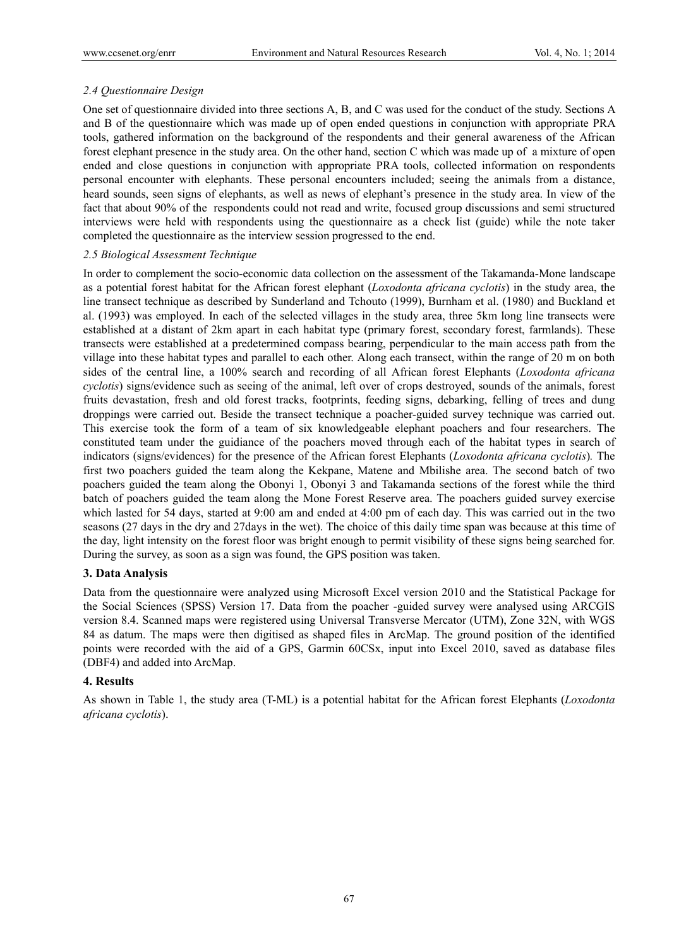## *2.4 Questionnaire Design*

One set of questionnaire divided into three sections A, B, and C was used for the conduct of the study. Sections A and B of the questionnaire which was made up of open ended questions in conjunction with appropriate PRA tools, gathered information on the background of the respondents and their general awareness of the African forest elephant presence in the study area. On the other hand, section C which was made up of a mixture of open ended and close questions in conjunction with appropriate PRA tools, collected information on respondents personal encounter with elephants. These personal encounters included; seeing the animals from a distance, heard sounds, seen signs of elephants, as well as news of elephant's presence in the study area. In view of the fact that about 90% of the respondents could not read and write, focused group discussions and semi structured interviews were held with respondents using the questionnaire as a check list (guide) while the note taker completed the questionnaire as the interview session progressed to the end.

## *2.5 Biological Assessment Technique*

In order to complement the socio-economic data collection on the assessment of the Takamanda-Mone landscape as a potential forest habitat for the African forest elephant (*Loxodonta africana cyclotis*) in the study area, the line transect technique as described by Sunderland and Tchouto (1999), Burnham et al. (1980) and Buckland et al. (1993) was employed. In each of the selected villages in the study area, three 5km long line transects were established at a distant of 2km apart in each habitat type (primary forest, secondary forest, farmlands). These transects were established at a predetermined compass bearing, perpendicular to the main access path from the village into these habitat types and parallel to each other. Along each transect, within the range of 20 m on both sides of the central line, a 100% search and recording of all African forest Elephants (*Loxodonta africana cyclotis*) signs/evidence such as seeing of the animal, left over of crops destroyed, sounds of the animals, forest fruits devastation, fresh and old forest tracks, footprints, feeding signs, debarking, felling of trees and dung droppings were carried out. Beside the transect technique a poacher-guided survey technique was carried out. This exercise took the form of a team of six knowledgeable elephant poachers and four researchers. The constituted team under the guidiance of the poachers moved through each of the habitat types in search of indicators (signs/evidences) for the presence of the African forest Elephants (*Loxodonta africana cyclotis*)*.* The first two poachers guided the team along the Kekpane, Matene and Mbilishe area. The second batch of two poachers guided the team along the Obonyi 1, Obonyi 3 and Takamanda sections of the forest while the third batch of poachers guided the team along the Mone Forest Reserve area. The poachers guided survey exercise which lasted for 54 days, started at 9:00 am and ended at 4:00 pm of each day. This was carried out in the two seasons (27 days in the dry and 27days in the wet). The choice of this daily time span was because at this time of the day, light intensity on the forest floor was bright enough to permit visibility of these signs being searched for. During the survey, as soon as a sign was found, the GPS position was taken.

# **3. Data Analysis**

Data from the questionnaire were analyzed using Microsoft Excel version 2010 and the Statistical Package for the Social Sciences (SPSS) Version 17. Data from the poacher -guided survey were analysed using ARCGIS version 8.4. Scanned maps were registered using Universal Transverse Mercator (UTM), Zone 32N, with WGS 84 as datum. The maps were then digitised as shaped files in ArcMap. The ground position of the identified points were recorded with the aid of a GPS, Garmin 60CSx, input into Excel 2010, saved as database files (DBF4) and added into ArcMap.

# **4. Results**

As shown in Table 1, the study area (T-ML) is a potential habitat for the African forest Elephants (*Loxodonta africana cyclotis*).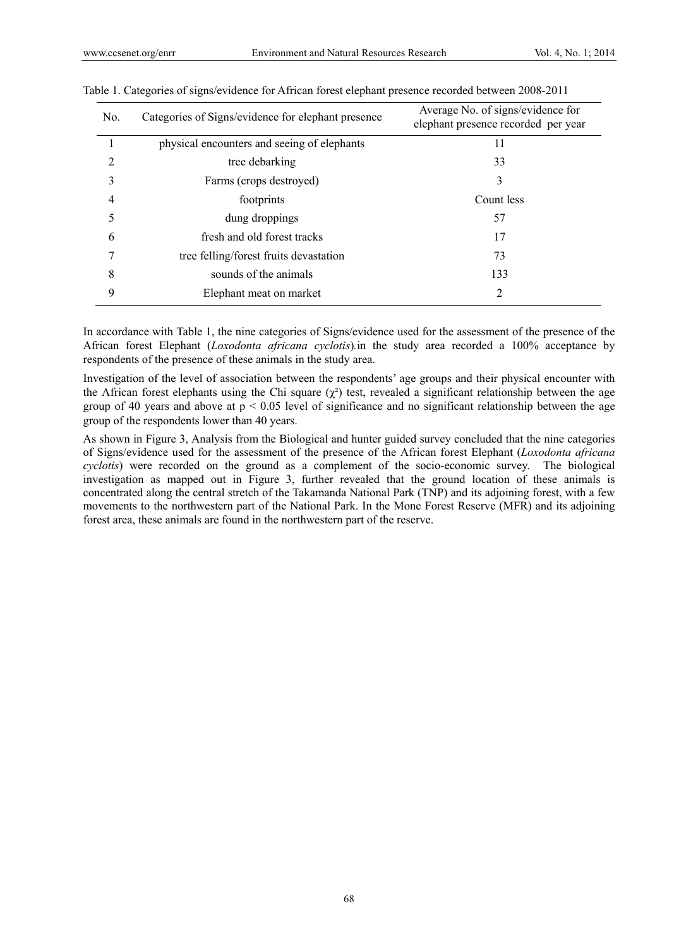| No. | Categories of Signs/evidence for elephant presence | Average No. of signs/evidence for<br>elephant presence recorded per year |
|-----|----------------------------------------------------|--------------------------------------------------------------------------|
|     | physical encounters and seeing of elephants        | 11                                                                       |
| 2   | tree debarking                                     | 33                                                                       |
| 3   | Farms (crops destroyed)                            | 3                                                                        |
| 4   | footprints                                         | Count less                                                               |
| 5   | dung droppings                                     | 57                                                                       |
| 6   | fresh and old forest tracks                        | 17                                                                       |
| 7   | tree felling/forest fruits devastation             | 73                                                                       |
| 8   | sounds of the animals                              | 133                                                                      |
| 9   | Elephant meat on market                            | 2                                                                        |

|  |  | Table 1. Categories of signs/evidence for African forest elephant presence recorded between 2008-2011 |
|--|--|-------------------------------------------------------------------------------------------------------|
|  |  |                                                                                                       |

In accordance with Table 1, the nine categories of Signs/evidence used for the assessment of the presence of the African forest Elephant (*Loxodonta africana cyclotis*)*.*in the study area recorded a 100% acceptance by respondents of the presence of these animals in the study area.

Investigation of the level of association between the respondents' age groups and their physical encounter with the African forest elephants using the Chi square  $(\chi^2)$  test, revealed a significant relationship between the age group of 40 years and above at  $p < 0.05$  level of significance and no significant relationship between the age group of the respondents lower than 40 years.

As shown in Figure 3, Analysis from the Biological and hunter guided survey concluded that the nine categories of Signs/evidence used for the assessment of the presence of the African forest Elephant (*Loxodonta africana cyclotis*) were recorded on the ground as a complement of the socio-economic survey. The biological investigation as mapped out in Figure 3, further revealed that the ground location of these animals is concentrated along the central stretch of the Takamanda National Park (TNP) and its adjoining forest, with a few movements to the northwestern part of the National Park. In the Mone Forest Reserve (MFR) and its adjoining forest area, these animals are found in the northwestern part of the reserve.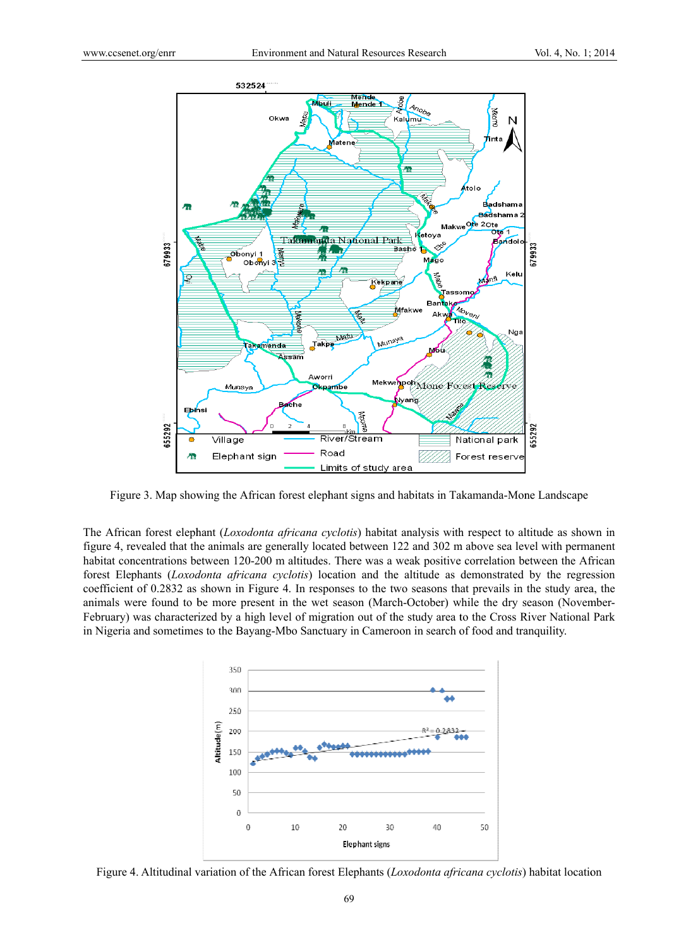

Figure 3. Map showing the African forest elephant signs and habitats in Takamanda-Mone Landscape

The African forest elephant (*Loxodonta africana cyclotis*) habitat analysis with respect to altitude as shown in figure 4, revealed that the animals are generally located between 122 and 302 m above sea level with permanent habitat concentrations between 120-200 m altitudes. There was a weak positive correlation between the African forest Elephants (*Loxodonta africana cyclotis*) location and the altitude as demonstrated by the regression coefficient of 0.2832 as shown in Figure 4. In responses to the two seasons that prevails in the study area, the animals were found to be more present in the wet season (March-October) while the dry season (November-February) was characterized by a high level of migration out of the study area to the Cross River National Park in Nigeria and sometimes to the Bayang-Mbo Sanctuary in Cameroon in search of food and tranquility.



Figure 4. Altitudinal variation of the African forest Elephants (*Loxodonta africana cyclotis*) habitat location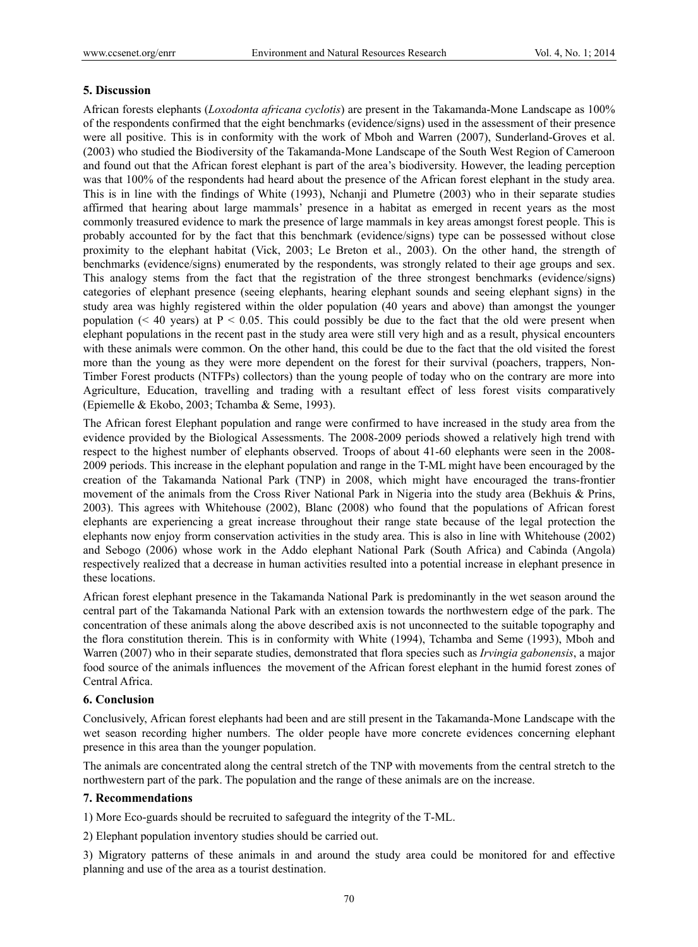## **5. Discussion**

African forests elephants (*Loxodonta africana cyclotis*) are present in the Takamanda-Mone Landscape as 100% of the respondents confirmed that the eight benchmarks (evidence/signs) used in the assessment of their presence were all positive. This is in conformity with the work of Mboh and Warren (2007), Sunderland-Groves et al. (2003) who studied the Biodiversity of the Takamanda-Mone Landscape of the South West Region of Cameroon and found out that the African forest elephant is part of the area's biodiversity. However, the leading perception was that 100% of the respondents had heard about the presence of the African forest elephant in the study area. This is in line with the findings of White (1993), Nchanji and Plumetre (2003) who in their separate studies affirmed that hearing about large mammals' presence in a habitat as emerged in recent years as the most commonly treasured evidence to mark the presence of large mammals in key areas amongst forest people. This is probably accounted for by the fact that this benchmark (evidence/signs) type can be possessed without close proximity to the elephant habitat (Vick, 2003; Le Breton et al., 2003). On the other hand, the strength of benchmarks (evidence/signs) enumerated by the respondents, was strongly related to their age groups and sex. This analogy stems from the fact that the registration of the three strongest benchmarks (evidence/signs) categories of elephant presence (seeing elephants, hearing elephant sounds and seeing elephant signs) in the study area was highly registered within the older population (40 years and above) than amongst the younger population ( $\leq 40$  years) at P  $\leq 0.05$ . This could possibly be due to the fact that the old were present when elephant populations in the recent past in the study area were still very high and as a result, physical encounters with these animals were common. On the other hand, this could be due to the fact that the old visited the forest more than the young as they were more dependent on the forest for their survival (poachers, trappers, Non-Timber Forest products (NTFPs) collectors) than the young people of today who on the contrary are more into Agriculture, Education, travelling and trading with a resultant effect of less forest visits comparatively (Epiemelle & Ekobo, 2003; Tchamba & Seme, 1993).

The African forest Elephant population and range were confirmed to have increased in the study area from the evidence provided by the Biological Assessments. The 2008-2009 periods showed a relatively high trend with respect to the highest number of elephants observed. Troops of about 41-60 elephants were seen in the 2008- 2009 periods. This increase in the elephant population and range in the T-ML might have been encouraged by the creation of the Takamanda National Park (TNP) in 2008, which might have encouraged the trans-frontier movement of the animals from the Cross River National Park in Nigeria into the study area (Bekhuis & Prins, 2003). This agrees with Whitehouse (2002), Blanc (2008) who found that the populations of African forest elephants are experiencing a great increase throughout their range state because of the legal protection the elephants now enjoy frorm conservation activities in the study area. This is also in line with Whitehouse (2002) and Sebogo (2006) whose work in the Addo elephant National Park (South Africa) and Cabinda (Angola) respectively realized that a decrease in human activities resulted into a potential increase in elephant presence in these locations.

African forest elephant presence in the Takamanda National Park is predominantly in the wet season around the central part of the Takamanda National Park with an extension towards the northwestern edge of the park. The concentration of these animals along the above described axis is not unconnected to the suitable topography and the flora constitution therein. This is in conformity with White (1994), Tchamba and Seme (1993), Mboh and Warren (2007) who in their separate studies, demonstrated that flora species such as *Irvingia gabonensis*, a major food source of the animals influences the movement of the African forest elephant in the humid forest zones of Central Africa.

## **6. Conclusion**

Conclusively, African forest elephants had been and are still present in the Takamanda-Mone Landscape with the wet season recording higher numbers. The older people have more concrete evidences concerning elephant presence in this area than the younger population.

The animals are concentrated along the central stretch of the TNP with movements from the central stretch to the northwestern part of the park. The population and the range of these animals are on the increase.

## **7. Recommendations**

1) More Eco-guards should be recruited to safeguard the integrity of the T-ML.

2) Elephant population inventory studies should be carried out.

3) Migratory patterns of these animals in and around the study area could be monitored for and effective planning and use of the area as a tourist destination.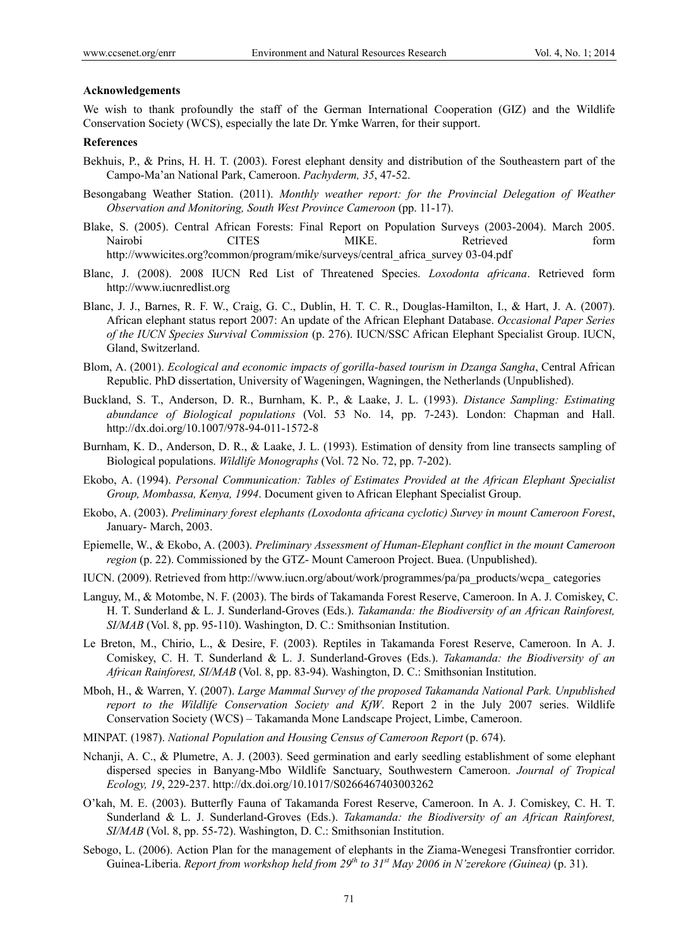#### **Acknowledgements**

We wish to thank profoundly the staff of the German International Cooperation (GIZ) and the Wildlife Conservation Society (WCS), especially the late Dr. Ymke Warren, for their support.

## **References**

- Bekhuis, P., & Prins, H. H. T. (2003). Forest elephant density and distribution of the Southeastern part of the Campo-Ma'an National Park, Cameroon. *Pachyderm, 35*, 47-52.
- Besongabang Weather Station. (2011). *Monthly weather report: for the Provincial Delegation of Weather Observation and Monitoring, South West Province Cameroon* (pp. 11-17).
- Blake, S. (2005). Central African Forests: Final Report on Population Surveys (2003-2004). March 2005. Nairobi CITES MIKE. Retrieved form http://wwwicites.org?common/program/mike/surveys/central\_africa\_survey 03-04.pdf
- Blanc, J. (2008). 2008 IUCN Red List of Threatened Species. *Loxodonta africana*. Retrieved form http://www.iucnredlist.org
- Blanc, J. J., Barnes, R. F. W., Craig, G. C., Dublin, H. T. C. R., Douglas-Hamilton, I., & Hart, J. A. (2007). African elephant status report 2007: An update of the African Elephant Database. *Occasional Paper Series of the IUCN Species Survival Commission* (p. 276). IUCN/SSC African Elephant Specialist Group. IUCN, Gland, Switzerland.
- Blom, A. (2001). *Ecological and economic impacts of gorilla-based tourism in Dzanga Sangha*, Central African Republic. PhD dissertation, University of Wageningen, Wagningen, the Netherlands (Unpublished).
- Buckland, S. T., Anderson, D. R., Burnham, K. P., & Laake, J. L. (1993). *Distance Sampling: Estimating abundance of Biological populations* (Vol. 53 No. 14, pp. 7-243). London: Chapman and Hall. http://dx.doi.org/10.1007/978-94-011-1572-8
- Burnham, K. D., Anderson, D. R., & Laake, J. L. (1993). Estimation of density from line transects sampling of Biological populations. *Wildlife Monographs* (Vol. 72 No. 72, pp. 7-202).
- Ekobo, A. (1994). *Personal Communication: Tables of Estimates Provided at the African Elephant Specialist Group, Mombassa, Kenya, 1994*. Document given to African Elephant Specialist Group.
- Ekobo, A. (2003). *Preliminary forest elephants (Loxodonta africana cyclotic) Survey in mount Cameroon Forest*, January- March, 2003.
- Epiemelle, W., & Ekobo, A. (2003). *Preliminary Assessment of Human-Elephant conflict in the mount Cameroon region* (p. 22). Commissioned by the GTZ- Mount Cameroon Project. Buea. (Unpublished).
- IUCN. (2009). Retrieved from http://www.iucn.org/about/work/programmes/pa/pa\_products/wcpa\_ categories
- Languy, M., & Motombe, N. F. (2003). The birds of Takamanda Forest Reserve, Cameroon. In A. J. Comiskey, C. H. T. Sunderland & L. J. Sunderland-Groves (Eds.). *Takamanda: the Biodiversity of an African Rainforest, SI/MAB* (Vol. 8, pp. 95-110). Washington, D. C.: Smithsonian Institution.
- Le Breton, M., Chirio, L., & Desire, F. (2003). Reptiles in Takamanda Forest Reserve, Cameroon. In A. J. Comiskey, C. H. T. Sunderland & L. J. Sunderland-Groves (Eds.). *Takamanda: the Biodiversity of an African Rainforest, SI/MAB* (Vol. 8, pp. 83-94). Washington, D. C.: Smithsonian Institution.
- Mboh, H., & Warren, Y. (2007). *Large Mammal Survey of the proposed Takamanda National Park. Unpublished report to the Wildlife Conservation Society and KfW*. Report 2 in the July 2007 series. Wildlife Conservation Society (WCS) – Takamanda Mone Landscape Project, Limbe, Cameroon.
- MINPAT. (1987). *National Population and Housing Census of Cameroon Report* (p. 674).
- Nchanji, A. C., & Plumetre, A. J. (2003). Seed germination and early seedling establishment of some elephant dispersed species in Banyang-Mbo Wildlife Sanctuary, Southwestern Cameroon. *Journal of Tropical Ecology, 19*, 229-237. http://dx.doi.org/10.1017/S0266467403003262
- O'kah, M. E. (2003). Butterfly Fauna of Takamanda Forest Reserve, Cameroon. In A. J. Comiskey, C. H. T. Sunderland & L. J. Sunderland-Groves (Eds.). *Takamanda: the Biodiversity of an African Rainforest, SI/MAB* (Vol. 8, pp. 55-72). Washington, D. C.: Smithsonian Institution.
- Sebogo, L. (2006). Action Plan for the management of elephants in the Ziama-Wenegesi Transfrontier corridor. Guinea-Liberia. *Report from workshop held from 29th to 31st May 2006 in N'zerekore (Guinea)* (p. 31).